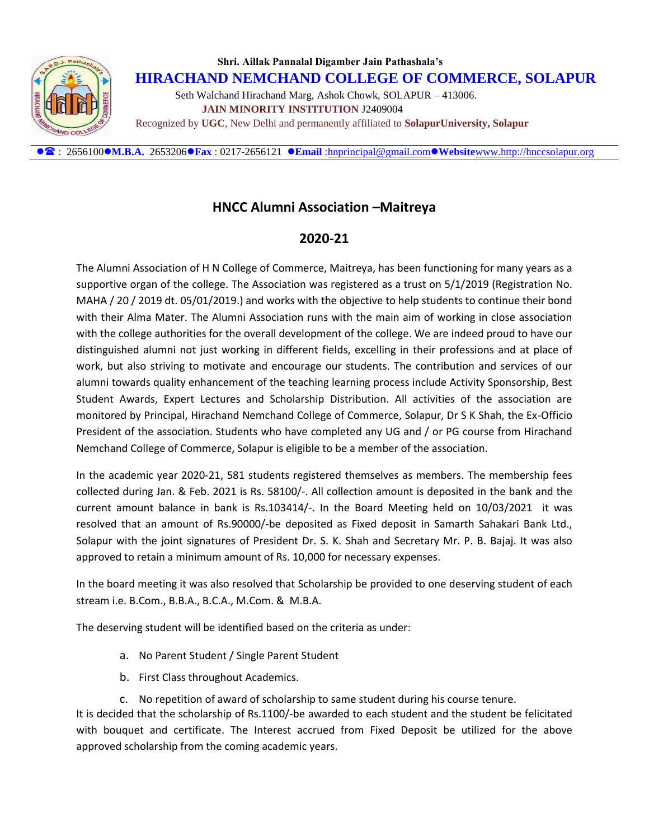

## **Shri. Aillak Pannalal Digamber Jain Pathashala's HIRACHAND NEMCHAND COLLEGE OF COMMERCE, SOLAPUR** Seth Walchand Hirachand Marg, Ashok Chowk, SOLAPUR – 413006.  **JAIN MINORITY INSTITUTION** J2409004 Recognized by **UGC**, New Delhi and permanently affiliated to **SolapurUniversity, Solapur**

: 2656100**M.B.A.** 2653206**Fax** : 0217-2656121 **Email** [:hnprincipal@gmail.com](mailto:hnprincipal@gmail.com)**Website**[www.http://hnccsolapur.org](http://www.http/hnccsolapur.org)

## **HNCC Alumni Association –Maitreya**

## **2020-21**

The Alumni Association of H N College of Commerce, Maitreya, has been functioning for many years as a supportive organ of the college. The Association was registered as a trust on 5/1/2019 (Registration No. MAHA / 20 / 2019 dt. 05/01/2019.) and works with the objective to help students to continue their bond with their Alma Mater. The Alumni Association runs with the main aim of working in close association with the college authorities for the overall development of the college. We are indeed proud to have our distinguished alumni not just working in different fields, excelling in their professions and at place of work, but also striving to motivate and encourage our students. The contribution and services of our alumni towards quality enhancement of the teaching learning process include Activity Sponsorship, Best Student Awards, Expert Lectures and Scholarship Distribution. All activities of the association are monitored by Principal, Hirachand Nemchand College of Commerce, Solapur, Dr S K Shah, the Ex-Officio President of the association. Students who have completed any UG and / or PG course from Hirachand Nemchand College of Commerce, Solapur is eligible to be a member of the association.

In the academic year 2020-21, 581 students registered themselves as members. The membership fees collected during Jan. & Feb. 2021 is Rs. 58100/-. All collection amount is deposited in the bank and the current amount balance in bank is Rs.103414/-. In the Board Meeting held on 10/03/2021 it was resolved that an amount of Rs.90000/-be deposited as Fixed deposit in Samarth Sahakari Bank Ltd., Solapur with the joint signatures of President Dr. S. K. Shah and Secretary Mr. P. B. Bajaj. It was also approved to retain a minimum amount of Rs. 10,000 for necessary expenses.

In the board meeting it was also resolved that Scholarship be provided to one deserving student of each stream i.e. B.Com., B.B.A., B.C.A., M.Com. & M.B.A.

The deserving student will be identified based on the criteria as under:

- a. No Parent Student / Single Parent Student
- b. First Class throughout Academics.
- c. No repetition of award of scholarship to same student during his course tenure.

It is decided that the scholarship of Rs.1100/-be awarded to each student and the student be felicitated with bouquet and certificate. The Interest accrued from Fixed Deposit be utilized for the above approved scholarship from the coming academic years.